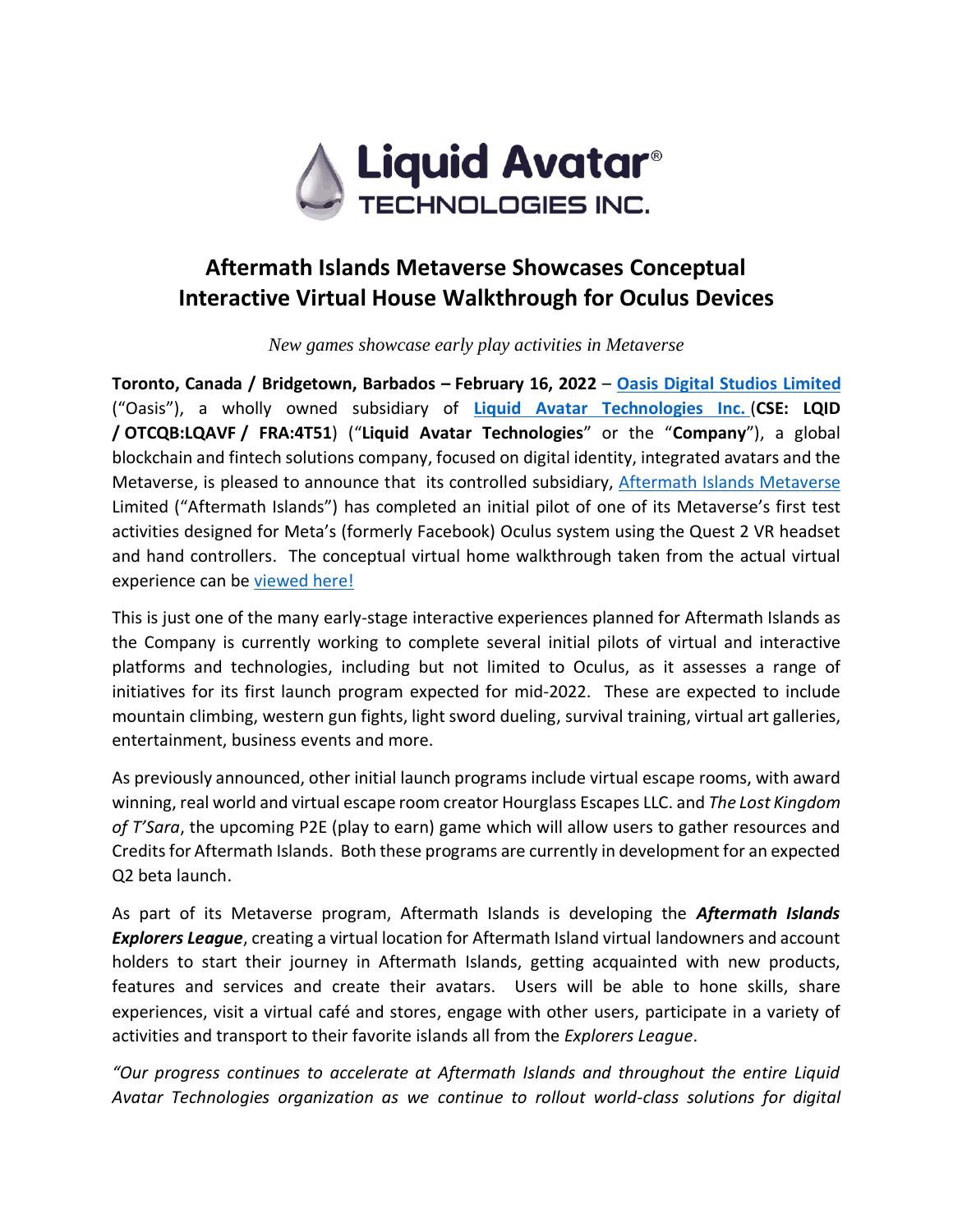

# **Aftermath Islands Metaverse Showcases Conceptual Interactive Virtual House Walkthrough for Oculus Devices**

*New games showcase early play activities in Metaverse*

**Toronto, Canada / Bridgetown, Barbados – February 16, 2022** – **[Oasis Digital Studios](https://oasisdigitalstudios.com/) Limited** ("Oasis"), a wholly owned subsidiary of **[Liquid Avatar Technologies Inc.](https://liquidavatartechnologies.com/)** (**CSE: LQID / OTCQB:LQAVF / FRA:4T51**) ("**Liquid Avatar Technologies**" or the "**Company**"), a global blockchain and fintech solutions company, focused on digital identity, integrated avatars and the Metaverse, is pleased to announce that its controlled subsidiary, [Aftermath Islands Metaverse](http://www.aftermathislands.com/) Limited ("Aftermath Islands") has completed an initial pilot of one of its Metaverse's first test activities designed for Meta's (formerly Facebook) Oculus system using the Quest 2 VR headset and hand controllers. The conceptual virtual home walkthrough taken from the actual virtual experience can be [viewed here!](https://www.youtube.com/watch?v=KFCsONjU6ao&ab_channel=AftermathIslands)

This is just one of the many early-stage interactive experiences planned for Aftermath Islands as the Company is currently working to complete several initial pilots of virtual and interactive platforms and technologies, including but not limited to Oculus, as it assesses a range of initiatives for its first launch program expected for mid-2022. These are expected to include mountain climbing, western gun fights, light sword dueling, survival training, virtual art galleries, entertainment, business events and more.

As previously announced, other initial launch programs include virtual escape rooms, with award winning, real world and virtual escape room creator Hourglass Escapes LLC. and *The Lost Kingdom of T'Sara*, the upcoming P2E (play to earn) game which will allow users to gather resources and Credits for Aftermath Islands. Both these programs are currently in development for an expected Q2 beta launch.

As part of its Metaverse program, Aftermath Islands is developing the *Aftermath Islands Explorers League*, creating a virtual location for Aftermath Island virtual landowners and account holders to start their journey in Aftermath Islands, getting acquainted with new products, features and services and create their avatars. Users will be able to hone skills, share experiences, visit a virtual café and stores, engage with other users, participate in a variety of activities and transport to their favorite islands all from the *Explorers League*.

*"Our progress continues to accelerate at Aftermath Islands and throughout the entire Liquid Avatar Technologies organization as we continue to rollout world-class solutions for digital*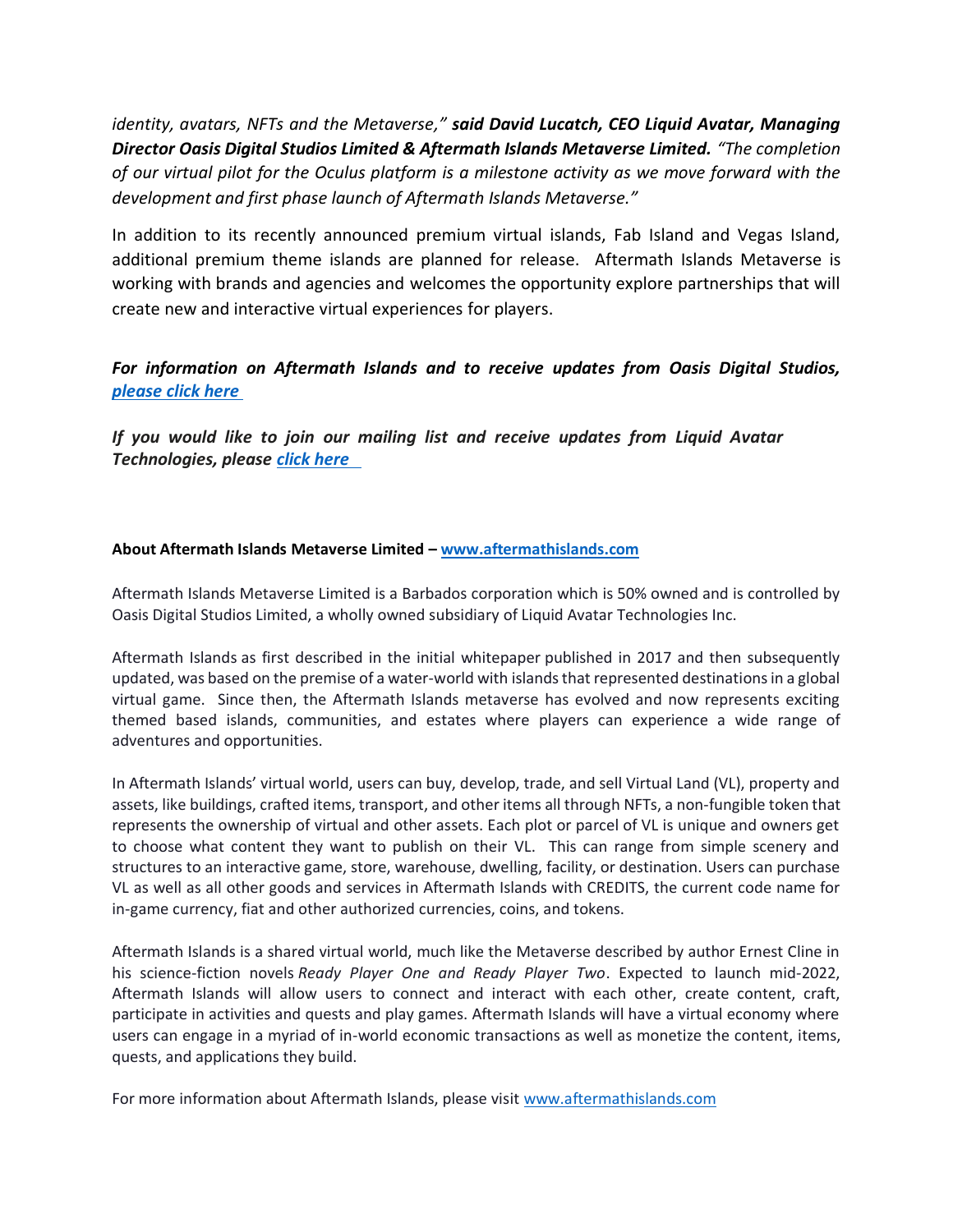*identity, avatars, NFTs and the Metaverse," said David Lucatch, CEO Liquid Avatar, Managing Director Oasis Digital Studios Limited & Aftermath Islands Metaverse Limited. "The completion of our virtual pilot for the Oculus platform is a milestone activity as we move forward with the development and first phase launch of Aftermath Islands Metaverse."*

In addition to its recently announced premium virtual islands, Fab Island and Vegas Island, additional premium theme islands are planned for release. Aftermath Islands Metaverse is working with brands and agencies and welcomes the opportunity explore partnerships that will create new and interactive virtual experiences for players.

## *For information on Aftermath Islands and to receive updates from Oasis Digital Studios, please [click here](https://share.hsforms.com/1bSgqjoO8SjmF58FU9WhPyA4rqa5)*

*If you would like to join our mailing list and receive updates from Liquid Avatar Technologies, please [click here](https://hello.liquidavatar.com/liquid-avatar-updates)* 

## **About Aftermath Islands Metaverse Limited – [www.aftermathislands.com](https://aftermathislands.com/)**

Aftermath Islands Metaverse Limited is a Barbados corporation which is 50% owned and is controlled by Oasis Digital Studios Limited, a wholly owned subsidiary of Liquid Avatar Technologies Inc.

Aftermath Islands as first described in the initial whitepaper published in 2017 and then subsequently updated, was based on the premise of a water-world with islands that represented destinations in a global virtual game. Since then, the Aftermath Islands metaverse has evolved and now represents exciting themed based islands, communities, and estates where players can experience a wide range of adventures and opportunities.

In Aftermath Islands' virtual world, users can buy, develop, trade, and sell Virtual Land (VL), property and assets, like buildings, crafted items, transport, and other items all through NFTs, a non-fungible token that represents the ownership of virtual and other assets. Each plot or parcel of VL is unique and owners get to choose what content they want to publish on their VL. This can range from simple scenery and structures to an interactive game, store, warehouse, dwelling, facility, or destination. Users can purchase VL as well as all other goods and services in Aftermath Islands with CREDITS, the current code name for in-game currency, fiat and other authorized currencies, coins, and tokens.

Aftermath Islands is a shared virtual world, much like the Metaverse described by author Ernest Cline in his science-fiction novels *Ready Player One and Ready Player Two*. Expected to launch mid-2022, Aftermath Islands will allow users to connect and interact with each other, create content, craft, participate in activities and quests and play games. Aftermath Islands will have a virtual economy where users can engage in a myriad of in-world economic transactions as well as monetize the content, items, quests, and applications they build.

For more information about Aftermath Islands, please visit [www.aftermathislands.com](https://aftermathislands.com/)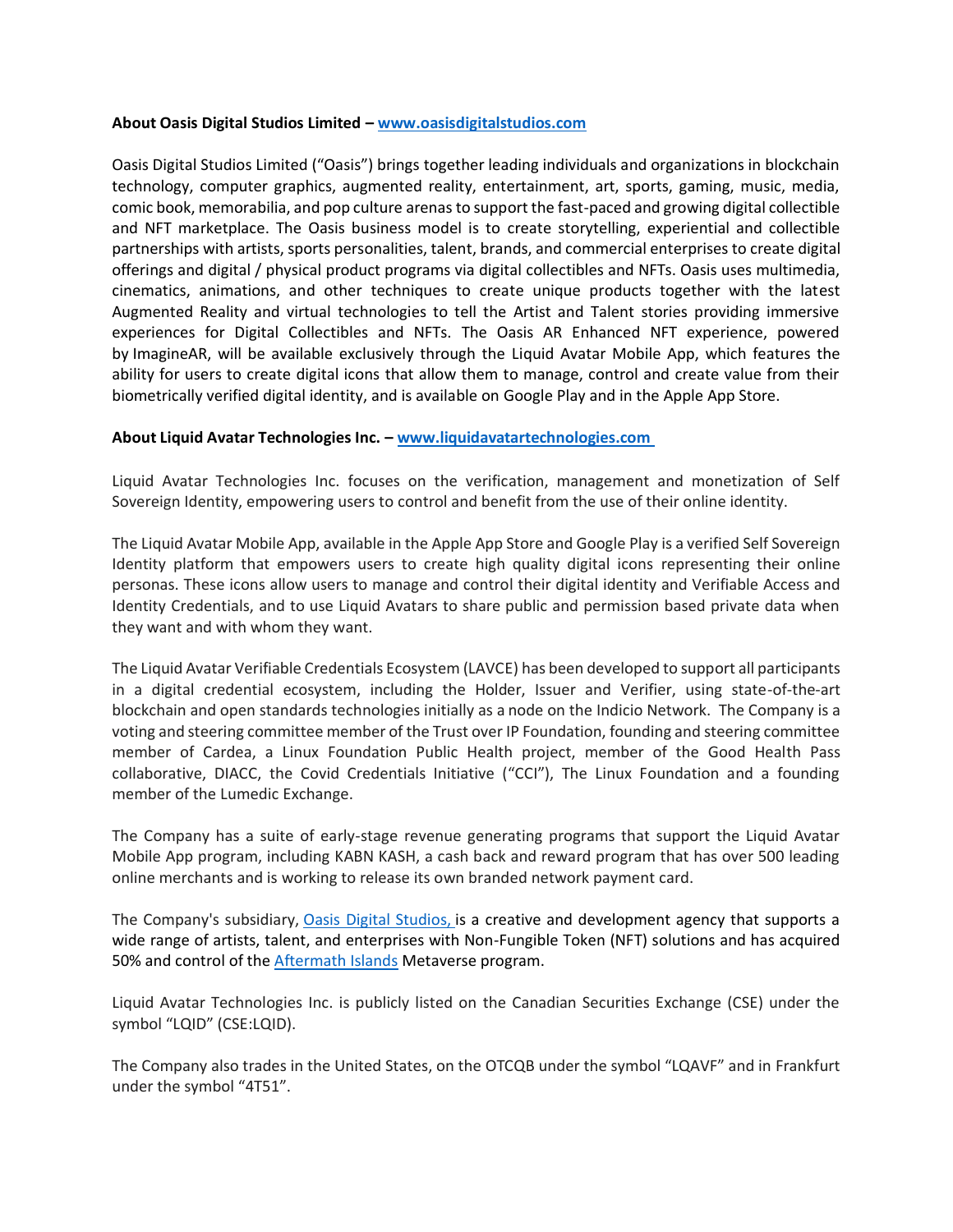#### **About Oasis Digital Studios Limited – [www.oasisdigitalstudios.com](https://oasisdigitalstudios.com/)**

Oasis Digital Studios Limited ("Oasis") brings together leading individuals and organizations in blockchain technology, computer graphics, augmented reality, entertainment, art, sports, gaming, music, media, comic book, memorabilia, and pop culture arenas to support the fast-paced and growing digital collectible and NFT marketplace. The Oasis business model is to create storytelling, experiential and collectible partnerships with artists, sports personalities, talent, brands, and commercial enterprises to create digital offerings and digital / physical product programs via digital collectibles and NFTs. Oasis uses multimedia, cinematics, animations, and other techniques to create unique products together with the latest Augmented Reality and virtual technologies to tell the Artist and Talent stories providing immersive experiences for Digital Collectibles and NFTs. The Oasis AR Enhanced NFT experience, powered by ImagineAR, will be available exclusively through the Liquid Avatar Mobile App, which features the ability for users to create digital icons that allow them to manage, control and create value from their biometrically verified digital identity, and is available on Google Play and in the Apple App Store.

### **About Liquid Avatar Technologies Inc. – [www.liquidavatartechnologies.com](https://liquidavatartechnologies.com/)**

Liquid Avatar Technologies Inc. focuses on the verification, management and monetization of Self Sovereign Identity, empowering users to control and benefit from the use of their online identity.

The Liquid Avatar Mobile App, available in the Apple App Store and Google Play is a verified Self Sovereign Identity platform that empowers users to create high quality digital icons representing their online personas. These icons allow users to manage and control their digital identity and Verifiable Access and Identity Credentials, and to use Liquid Avatars to share public and permission based private data when they want and with whom they want.

The Liquid Avatar Verifiable Credentials Ecosystem (LAVCE) has been developed to support all participants in a digital credential ecosystem, including the Holder, Issuer and Verifier, using state-of-the-art blockchain and open standards technologies initially as a node on the Indicio Network. The Company is a voting and steering committee member of the Trust over IP Foundation, founding and steering committee member of Cardea, a Linux Foundation Public Health project, member of the Good Health Pass collaborative, DIACC, the Covid Credentials Initiative ("CCI"), The Linux Foundation and a founding member of the Lumedic Exchange.

The Company has a suite of early-stage revenue generating programs that support the Liquid Avatar Mobile App program, including KABN KASH, a cash back and reward program that has over 500 leading online merchants and is working to release its own branded network payment card.

The Company's subsidiary, Oasis [Digital Studios,](https://oasisdigitalstudios.com/) is a creative and development agency that supports a wide range of artists, talent, and enterprises with Non-Fungible Token (NFT) solutions and has acquired 50% and control of the [Aftermath Islands](http://www.aftermathislands.com/) Metaverse program.

Liquid Avatar Technologies Inc. is publicly listed on the Canadian Securities Exchange (CSE) under the symbol "LQID" (CSE:LQID).

The Company also trades in the United States, on the OTCQB under the symbol "LQAVF" and in Frankfurt under the symbol "4T51".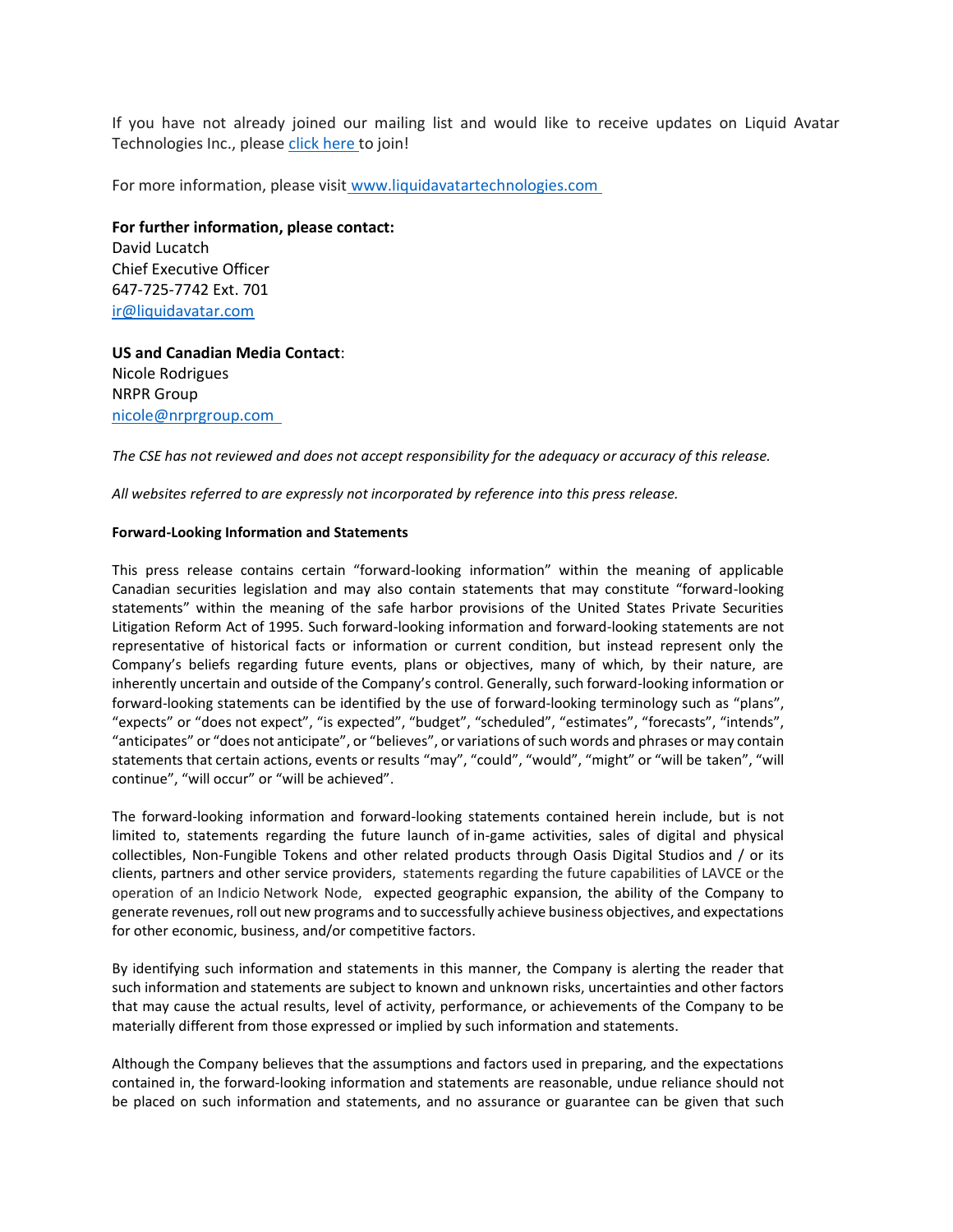If you have not already joined our mailing list and would like to receive updates on Liquid Avatar Technologies Inc., please [click here](https://hello.liquidavatar.com/liquid-avatar-updates) to join!

For more information, please visit [www.liquidavatartechnologies.com](https://liquidavatartechnologies.com/)

**For further information, please contact:** David Lucatch Chief Executive Officer 647-725-7742 Ext. 701 [ir@liquidavatar.com](mailto:ir@liquidavatar.com)

**US and Canadian Media Contact**: Nicole Rodrigues NRPR Group [nicole@nrprgroup.com](mailto:nicole@nrprgroup.com) 

*The CSE has not reviewed and does not accept responsibility for the adequacy or accuracy of this release.*

*All websites referred to are expressly not incorporated by reference into this press release.*

#### **Forward-Looking Information and Statements**

This press release contains certain "forward-looking information" within the meaning of applicable Canadian securities legislation and may also contain statements that may constitute "forward-looking statements" within the meaning of the safe harbor provisions of the United States Private Securities Litigation Reform Act of 1995. Such forward-looking information and forward-looking statements are not representative of historical facts or information or current condition, but instead represent only the Company's beliefs regarding future events, plans or objectives, many of which, by their nature, are inherently uncertain and outside of the Company's control. Generally, such forward-looking information or forward-looking statements can be identified by the use of forward-looking terminology such as "plans", "expects" or "does not expect", "is expected", "budget", "scheduled", "estimates", "forecasts", "intends", "anticipates" or "does not anticipate", or "believes", or variations of such words and phrases or may contain statements that certain actions, events or results "may", "could", "would", "might" or "will be taken", "will continue", "will occur" or "will be achieved".

The forward-looking information and forward-looking statements contained herein include, but is not limited to, statements regarding the future launch of in-game activities, sales of digital and physical collectibles, Non-Fungible Tokens and other related products through Oasis Digital Studios and / or its clients, partners and other service providers, statements regarding the future capabilities of LAVCE or the operation of an Indicio Network Node, expected geographic expansion, the ability of the Company to generate revenues, roll out new programs and to successfully achieve business objectives, and expectations for other economic, business, and/or competitive factors.

By identifying such information and statements in this manner, the Company is alerting the reader that such information and statements are subject to known and unknown risks, uncertainties and other factors that may cause the actual results, level of activity, performance, or achievements of the Company to be materially different from those expressed or implied by such information and statements.

Although the Company believes that the assumptions and factors used in preparing, and the expectations contained in, the forward-looking information and statements are reasonable, undue reliance should not be placed on such information and statements, and no assurance or guarantee can be given that such